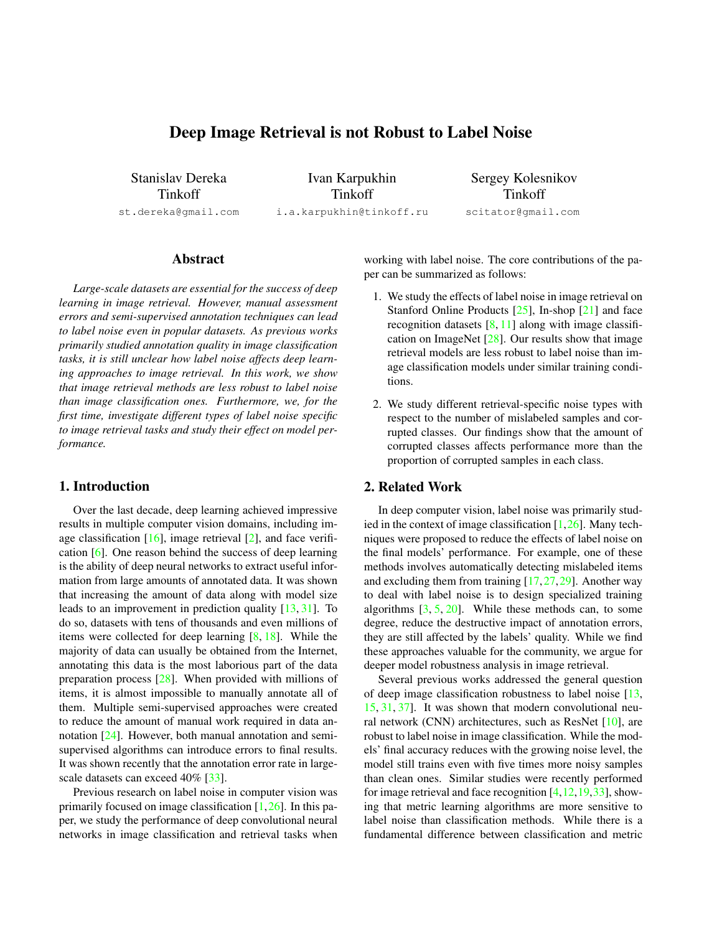# Deep Image Retrieval is not Robust to Label Noise

<span id="page-0-0"></span>Stanislav Dereka Tinkoff st.dereka@gmail.com

Ivan Karpukhin Tinkoff i.a.karpukhin@tinkoff.ru

Sergey Kolesnikov Tinkoff scitator@gmail.com

# Abstract

*Large-scale datasets are essential for the success of deep learning in image retrieval. However, manual assessment errors and semi-supervised annotation techniques can lead to label noise even in popular datasets. As previous works primarily studied annotation quality in image classification tasks, it is still unclear how label noise affects deep learning approaches to image retrieval. In this work, we show that image retrieval methods are less robust to label noise than image classification ones. Furthermore, we, for the first time, investigate different types of label noise specific to image retrieval tasks and study their effect on model performance.*

# 1. Introduction

Over the last decade, deep learning achieved impressive results in multiple computer vision domains, including image classification  $[16]$ , image retrieval  $[2]$ , and face verification [\[6\]](#page-4-1). One reason behind the success of deep learning is the ability of deep neural networks to extract useful information from large amounts of annotated data. It was shown that increasing the amount of data along with model size leads to an improvement in prediction quality [\[13,](#page-4-2) [31\]](#page-5-0). To do so, datasets with tens of thousands and even millions of items were collected for deep learning [\[8,](#page-4-3) [18\]](#page-4-4). While the majority of data can usually be obtained from the Internet, annotating this data is the most laborious part of the data preparation process [\[28\]](#page-5-1). When provided with millions of items, it is almost impossible to manually annotate all of them. Multiple semi-supervised approaches were created to reduce the amount of manual work required in data annotation [\[24\]](#page-4-5). However, both manual annotation and semisupervised algorithms can introduce errors to final results. It was shown recently that the annotation error rate in large-scale datasets can exceed 40% [\[33\]](#page-5-2).

Previous research on label noise in computer vision was primarily focused on image classification  $[1,26]$  $[1,26]$ . In this paper, we study the performance of deep convolutional neural networks in image classification and retrieval tasks when working with label noise. The core contributions of the paper can be summarized as follows:

- 1. We study the effects of label noise in image retrieval on Stanford Online Products  $[25]$ , In-shop  $[21]$  and face recognition datasets  $[8, 11]$  $[8, 11]$  $[8, 11]$  along with image classification on ImageNet  $[28]$ . Our results show that image retrieval models are less robust to label noise than image classification models under similar training conditions.
- 2. We study different retrieval-specific noise types with respect to the number of mislabeled samples and corrupted classes. Our findings show that the amount of corrupted classes affects performance more than the proportion of corrupted samples in each class.

### 2. Related Work

In deep computer vision, label noise was primarily studied in the context of image classification  $[1,26]$  $[1,26]$ . Many techniques were proposed to reduce the effects of label noise on the final models' performance. For example, one of these methods involves automatically detecting mislabeled items and excluding them from training  $[17, 27, 29]$  $[17, 27, 29]$  $[17, 27, 29]$  $[17, 27, 29]$  $[17, 27, 29]$ . Another way to deal with label noise is to design specialized training algorithms  $[3, 5, 20]$  $[3, 5, 20]$  $[3, 5, 20]$  $[3, 5, 20]$  $[3, 5, 20]$ . While these methods can, to some degree, reduce the destructive impact of annotation errors, they are still affected by the labels' quality. While we find these approaches valuable for the community, we argue for deeper model robustness analysis in image retrieval.

Several previous works addressed the general question of deep image classification robustness to label noise [\[13,](#page-4-2) [15,](#page-4-15) [31,](#page-5-0) [37\]](#page-5-4). It was shown that modern convolutional neural network (CNN) architectures, such as ResNet [\[10\]](#page-4-16), are robust to label noise in image classification. While the models' final accuracy reduces with the growing noise level, the model still trains even with five times more noisy samples than clean ones. Similar studies were recently performed for image retrieval and face recognition [\[4,](#page-4-17)[12,](#page-4-18)[19,](#page-4-19)[33\]](#page-5-2), showing that metric learning algorithms are more sensitive to label noise than classification methods. While there is a fundamental difference between classification and metric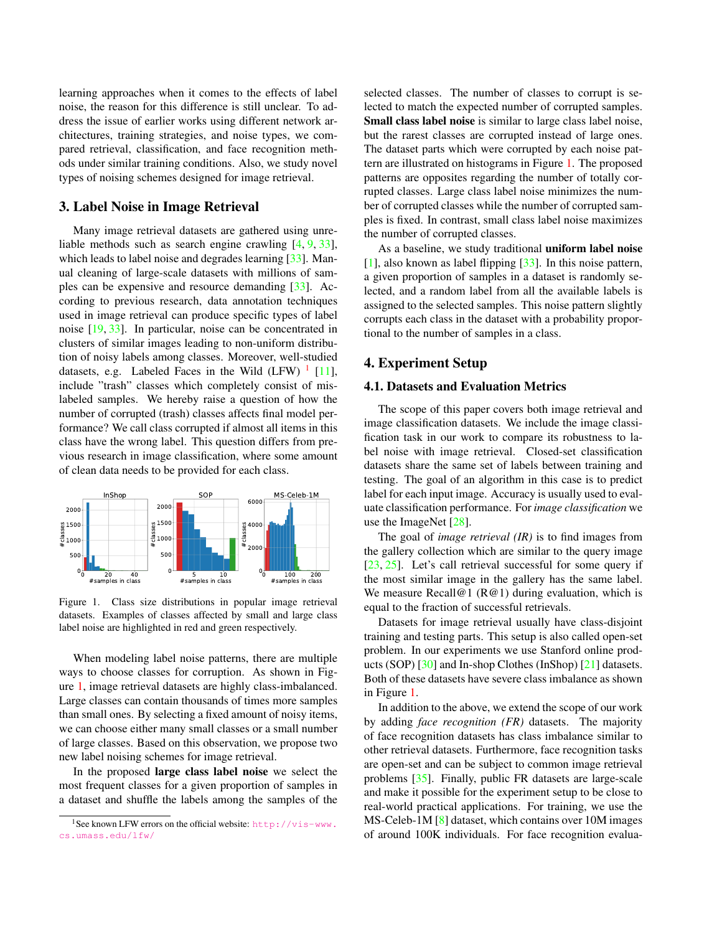<span id="page-1-3"></span>learning approaches when it comes to the effects of label noise, the reason for this difference is still unclear. To address the issue of earlier works using different network architectures, training strategies, and noise types, we compared retrieval, classification, and face recognition methods under similar training conditions. Also, we study novel types of noising schemes designed for image retrieval.

#### <span id="page-1-2"></span>3. Label Noise in Image Retrieval

Many image retrieval datasets are gathered using unreliable methods such as search engine crawling [\[4,](#page-4-17) [9,](#page-4-20) [33\]](#page-5-2), which leads to label noise and degrades learning [\[33\]](#page-5-2). Manual cleaning of large-scale datasets with millions of samples can be expensive and resource demanding [\[33\]](#page-5-2). According to previous research, data annotation techniques used in image retrieval can produce specific types of label noise [\[19,](#page-4-19) [33\]](#page-5-2). In particular, noise can be concentrated in clusters of similar images leading to non-uniform distribution of noisy labels among classes. Moreover, well-studied datasets, e.g. Labeled Faces in the Wild  $(LFW)^{-1}$  $(LFW)^{-1}$  $(LFW)^{-1}$  [\[11\]](#page-4-9), include "trash" classes which completely consist of mislabeled samples. We hereby raise a question of how the number of corrupted (trash) classes affects final model performance? We call class corrupted if almost all items in this class have the wrong label. This question differs from previous research in image classification, where some amount of clean data needs to be provided for each class.

<span id="page-1-1"></span>

Figure 1. Class size distributions in popular image retrieval datasets. Examples of classes affected by small and large class label noise are highlighted in red and green respectively.

When modeling label noise patterns, there are multiple ways to choose classes for corruption. As shown in Figure [1,](#page-1-1) image retrieval datasets are highly class-imbalanced. Large classes can contain thousands of times more samples than small ones. By selecting a fixed amount of noisy items, we can choose either many small classes or a small number of large classes. Based on this observation, we propose two new label noising schemes for image retrieval.

In the proposed large class label noise we select the most frequent classes for a given proportion of samples in a dataset and shuffle the labels among the samples of the

selected classes. The number of classes to corrupt is selected to match the expected number of corrupted samples. Small class label noise is similar to large class label noise, but the rarest classes are corrupted instead of large ones. The dataset parts which were corrupted by each noise pattern are illustrated on histograms in Figure [1.](#page-1-1) The proposed patterns are opposites regarding the number of totally corrupted classes. Large class label noise minimizes the number of corrupted classes while the number of corrupted samples is fixed. In contrast, small class label noise maximizes the number of corrupted classes.

As a baseline, we study traditional uniform label noise  $[1]$ , also known as label flipping  $[33]$ . In this noise pattern, a given proportion of samples in a dataset is randomly selected, and a random label from all the available labels is assigned to the selected samples. This noise pattern slightly corrupts each class in the dataset with a probability proportional to the number of samples in a class.

### 4. Experiment Setup

#### 4.1. Datasets and Evaluation Metrics

The scope of this paper covers both image retrieval and image classification datasets. We include the image classification task in our work to compare its robustness to label noise with image retrieval. Closed-set classification datasets share the same set of labels between training and testing. The goal of an algorithm in this case is to predict label for each input image. Accuracy is usually used to evaluate classification performance. For *image classification* we use the ImageNet [\[28\]](#page-5-1).

The goal of *image retrieval (IR)* is to find images from the gallery collection which are similar to the query image [\[23,](#page-4-21) [25\]](#page-4-7). Let's call retrieval successful for some query if the most similar image in the gallery has the same label. We measure Recall@1 ( $R@1$ ) during evaluation, which is equal to the fraction of successful retrievals.

Datasets for image retrieval usually have class-disjoint training and testing parts. This setup is also called open-set problem. In our experiments we use Stanford online products (SOP) [\[30\]](#page-5-5) and In-shop Clothes (InShop) [\[21\]](#page-4-8) datasets. Both of these datasets have severe class imbalance as shown in Figure [1.](#page-1-1)

In addition to the above, we extend the scope of our work by adding *face recognition (FR)* datasets. The majority of face recognition datasets has class imbalance similar to other retrieval datasets. Furthermore, face recognition tasks are open-set and can be subject to common image retrieval problems [\[35\]](#page-5-6). Finally, public FR datasets are large-scale and make it possible for the experiment setup to be close to real-world practical applications. For training, we use the MS-Celeb-1M [\[8\]](#page-4-3) dataset, which contains over 10M images of around 100K individuals. For face recognition evalua-

<span id="page-1-0"></span><sup>1</sup>See known LFW errors on the official website: [http://vis-www.](http://vis-www.cs.umass.edu/lfw/) [cs.umass.edu/lfw/](http://vis-www.cs.umass.edu/lfw/)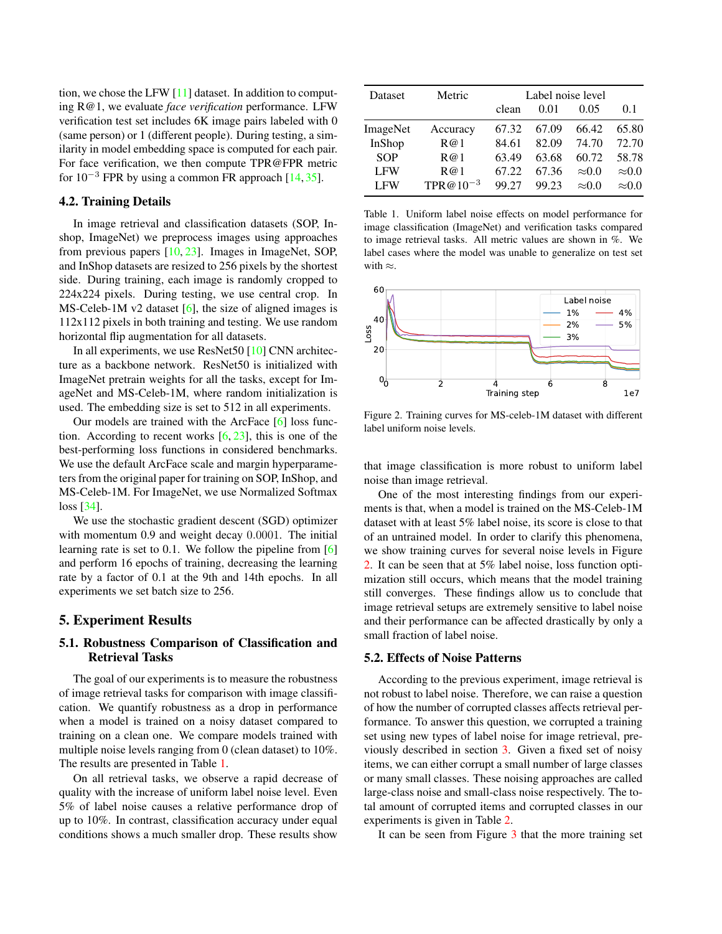<span id="page-2-2"></span>tion, we chose the LFW [\[11\]](#page-4-9) dataset. In addition to computing R@1, we evaluate *face verification* performance. LFW verification test set includes 6K image pairs labeled with 0 (same person) or 1 (different people). During testing, a similarity in model embedding space is computed for each pair. For face verification, we then compute TPR@FPR metric for  $10^{-3}$  FPR by using a common FR approach [\[14,](#page-4-22) [35\]](#page-5-6).

#### 4.2. Training Details

In image retrieval and classification datasets (SOP, Inshop, ImageNet) we preprocess images using approaches from previous papers [\[10,](#page-4-16) [23\]](#page-4-21). Images in ImageNet, SOP, and InShop datasets are resized to 256 pixels by the shortest side. During training, each image is randomly cropped to 224x224 pixels. During testing, we use central crop. In MS-Celeb-1M v2 dataset [\[6\]](#page-4-1), the size of aligned images is 112x112 pixels in both training and testing. We use random horizontal flip augmentation for all datasets.

In all experiments, we use ResNet50 [\[10\]](#page-4-16) CNN architecture as a backbone network. ResNet50 is initialized with ImageNet pretrain weights for all the tasks, except for ImageNet and MS-Celeb-1M, where random initialization is used. The embedding size is set to 512 in all experiments.

Our models are trained with the ArcFace [\[6\]](#page-4-1) loss function. According to recent works  $[6, 23]$  $[6, 23]$  $[6, 23]$ , this is one of the best-performing loss functions in considered benchmarks. We use the default ArcFace scale and margin hyperparameters from the original paper for training on SOP, InShop, and MS-Celeb-1M. For ImageNet, we use Normalized Softmax loss [\[34\]](#page-5-7).

We use the stochastic gradient descent (SGD) optimizer with momentum 0.9 and weight decay 0.0001. The initial learning rate is set to 0.1. We follow the pipeline from [\[6\]](#page-4-1) and perform 16 epochs of training, decreasing the learning rate by a factor of 0.1 at the 9th and 14th epochs. In all experiments we set batch size to 256.

### 5. Experiment Results

### 5.1. Robustness Comparison of Classification and Retrieval Tasks

The goal of our experiments is to measure the robustness of image retrieval tasks for comparison with image classification. We quantify robustness as a drop in performance when a model is trained on a noisy dataset compared to training on a clean one. We compare models trained with multiple noise levels ranging from 0 (clean dataset) to 10%. The results are presented in Table [1.](#page-2-0)

On all retrieval tasks, we observe a rapid decrease of quality with the increase of uniform label noise level. Even 5% of label noise causes a relative performance drop of up to 10%. In contrast, classification accuracy under equal conditions shows a much smaller drop. These results show

<span id="page-2-0"></span>

| Dataset         | Metric        | Label noise level |       |               |               |
|-----------------|---------------|-------------------|-------|---------------|---------------|
|                 |               | clean             | 0.01  | 0.05          | 0.1           |
| <b>ImageNet</b> | Accuracy      | 67.32             | 67.09 | 66.42         | 65.80         |
| InShop          | R@1           | 84.61             | 82.09 | 74.70         | 72.70         |
| <b>SOP</b>      | R@1           | 63.49             | 63.68 | 60.72         | 58.78         |
| <b>LFW</b>      | R@1           | 67.22             | 67.36 | $\approx 0.0$ | $\approx 0.0$ |
| <b>LFW</b>      | $TPR@10^{-3}$ | 99.27             | 99.23 | $\approx 0.0$ | $\approx 0.0$ |

Table 1. Uniform label noise effects on model performance for image classification (ImageNet) and verification tasks compared to image retrieval tasks. All metric values are shown in %. We label cases where the model was unable to generalize on test set with  $\approx$ .

<span id="page-2-1"></span>

Figure 2. Training curves for MS-celeb-1M dataset with different label uniform noise levels.

that image classification is more robust to uniform label noise than image retrieval.

One of the most interesting findings from our experiments is that, when a model is trained on the MS-Celeb-1M dataset with at least 5% label noise, its score is close to that of an untrained model. In order to clarify this phenomena, we show training curves for several noise levels in Figure [2.](#page-2-1) It can be seen that at 5% label noise, loss function optimization still occurs, which means that the model training still converges. These findings allow us to conclude that image retrieval setups are extremely sensitive to label noise and their performance can be affected drastically by only a small fraction of label noise.

#### 5.2. Effects of Noise Patterns

According to the previous experiment, image retrieval is not robust to label noise. Therefore, we can raise a question of how the number of corrupted classes affects retrieval performance. To answer this question, we corrupted a training set using new types of label noise for image retrieval, previously described in section [3.](#page-1-2) Given a fixed set of noisy items, we can either corrupt a small number of large classes or many small classes. These noising approaches are called large-class noise and small-class noise respectively. The total amount of corrupted items and corrupted classes in our experiments is given in Table [2.](#page-3-2)

It can be seen from Figure [3](#page-3-3) that the more training set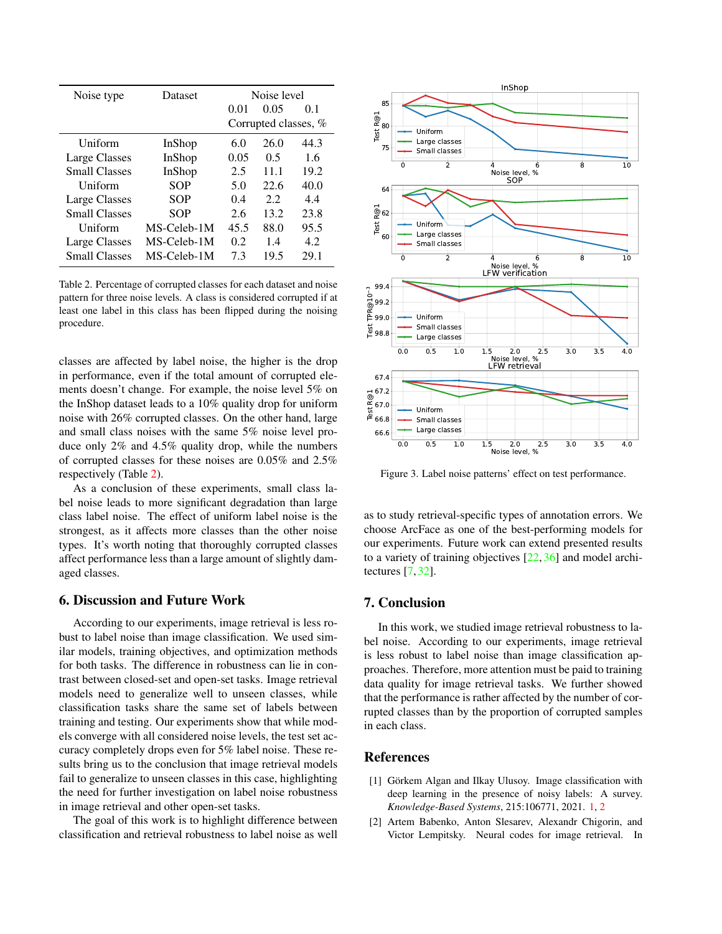<span id="page-3-4"></span><span id="page-3-2"></span>

| Noise type           | Dataset     | Noise level          |       |      |
|----------------------|-------------|----------------------|-------|------|
|                      |             | 0.01                 | 0.05  | 0.1  |
|                      |             | Corrupted classes, % |       |      |
| Uniform              | InShop      | 6.0                  | 26.0  | 44.3 |
| Large Classes        | InShop      | 0.05                 | 0.5   | 1.6  |
| <b>Small Classes</b> | InShop      | 2.5                  | 11 1  | 19.2 |
| Uniform              | <b>SOP</b>  | 5.0                  | 22.6  | 40.0 |
| Large Classes        | SOP         | 0.4                  | 2.2   | 4.4  |
| <b>Small Classes</b> | SOP         | 2.6                  | 13.2. | 23.8 |
| Uniform              | MS-Celeb-1M | 45.5                 | 88.0  | 95.5 |
| Large Classes        | MS-Celeb-1M | 0.2                  | 1.4   | 4.2. |
| <b>Small Classes</b> | MS-Celeb-1M | 7.3                  | 19.5  | 29.1 |

Table 2. Percentage of corrupted classes for each dataset and noise pattern for three noise levels. A class is considered corrupted if at least one label in this class has been flipped during the noising procedure.

classes are affected by label noise, the higher is the drop in performance, even if the total amount of corrupted elements doesn't change. For example, the noise level 5% on the InShop dataset leads to a 10% quality drop for uniform noise with 26% corrupted classes. On the other hand, large and small class noises with the same 5% noise level produce only 2% and 4.5% quality drop, while the numbers of corrupted classes for these noises are 0.05% and 2.5% respectively (Table [2\)](#page-3-2).

As a conclusion of these experiments, small class label noise leads to more significant degradation than large class label noise. The effect of uniform label noise is the strongest, as it affects more classes than the other noise types. It's worth noting that thoroughly corrupted classes affect performance less than a large amount of slightly damaged classes.

#### 6. Discussion and Future Work

According to our experiments, image retrieval is less robust to label noise than image classification. We used similar models, training objectives, and optimization methods for both tasks. The difference in robustness can lie in contrast between closed-set and open-set tasks. Image retrieval models need to generalize well to unseen classes, while classification tasks share the same set of labels between training and testing. Our experiments show that while models converge with all considered noise levels, the test set accuracy completely drops even for 5% label noise. These results bring us to the conclusion that image retrieval models fail to generalize to unseen classes in this case, highlighting the need for further investigation on label noise robustness in image retrieval and other open-set tasks.

The goal of this work is to highlight difference between classification and retrieval robustness to label noise as well

<span id="page-3-3"></span>

Figure 3. Label noise patterns' effect on test performance.

as to study retrieval-specific types of annotation errors. We choose ArcFace as one of the best-performing models for our experiments. Future work can extend presented results to a variety of training objectives  $[22, 36]$  $[22, 36]$  $[22, 36]$  and model architectures [\[7,](#page-4-24) [32\]](#page-5-9).

## 7. Conclusion

In this work, we studied image retrieval robustness to label noise. According to our experiments, image retrieval is less robust to label noise than image classification approaches. Therefore, more attention must be paid to training data quality for image retrieval tasks. We further showed that the performance is rather affected by the number of corrupted classes than by the proportion of corrupted samples in each class.

#### References

- <span id="page-3-1"></span>[1] Görkem Algan and Ilkay Ulusoy. Image classification with deep learning in the presence of noisy labels: A survey. *Knowledge-Based Systems*, 215:106771, 2021. [1,](#page-0-0) [2](#page-1-3)
- <span id="page-3-0"></span>[2] Artem Babenko, Anton Slesarev, Alexandr Chigorin, and Victor Lempitsky. Neural codes for image retrieval. In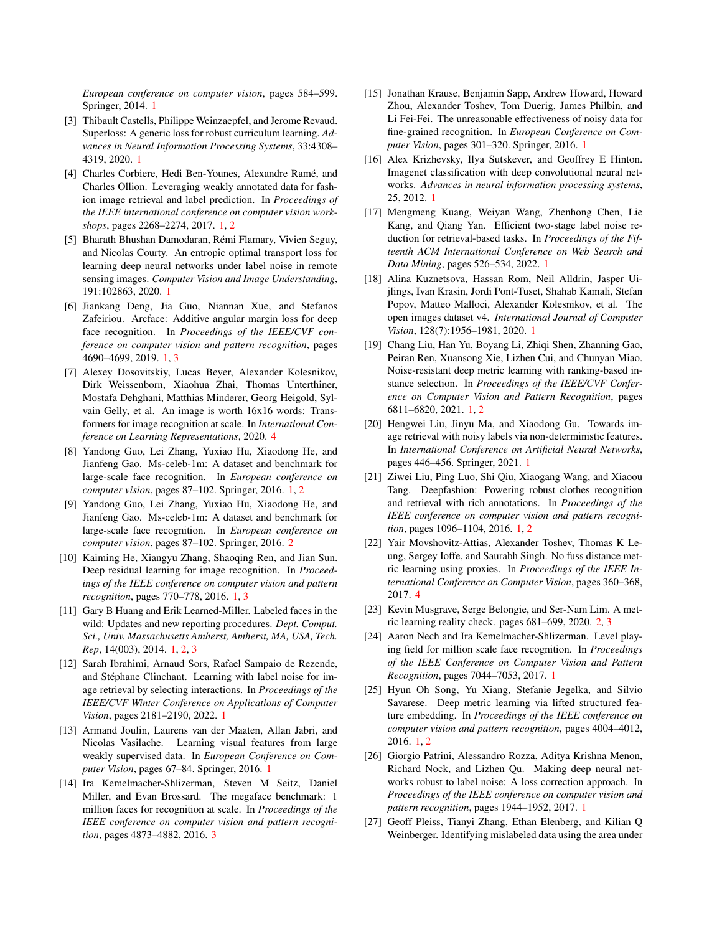*European conference on computer vision*, pages 584–599. Springer, 2014. [1](#page-0-0)

- <span id="page-4-12"></span>[3] Thibault Castells, Philippe Weinzaepfel, and Jerome Revaud. Superloss: A generic loss for robust curriculum learning. *Advances in Neural Information Processing Systems*, 33:4308– 4319, 2020. [1](#page-0-0)
- <span id="page-4-17"></span>[4] Charles Corbiere, Hedi Ben-Younes, Alexandre Ramé, and Charles Ollion. Leveraging weakly annotated data for fashion image retrieval and label prediction. In *Proceedings of the IEEE international conference on computer vision workshops*, pages 2268–2274, 2017. [1,](#page-0-0) [2](#page-1-3)
- <span id="page-4-13"></span>[5] Bharath Bhushan Damodaran, Rémi Flamary, Vivien Seguy, and Nicolas Courty. An entropic optimal transport loss for learning deep neural networks under label noise in remote sensing images. *Computer Vision and Image Understanding*, 191:102863, 2020. [1](#page-0-0)
- <span id="page-4-1"></span>[6] Jiankang Deng, Jia Guo, Niannan Xue, and Stefanos Zafeiriou. Arcface: Additive angular margin loss for deep face recognition. In *Proceedings of the IEEE/CVF conference on computer vision and pattern recognition*, pages 4690–4699, 2019. [1,](#page-0-0) [3](#page-2-2)
- <span id="page-4-24"></span>[7] Alexey Dosovitskiy, Lucas Beyer, Alexander Kolesnikov, Dirk Weissenborn, Xiaohua Zhai, Thomas Unterthiner, Mostafa Dehghani, Matthias Minderer, Georg Heigold, Sylvain Gelly, et al. An image is worth 16x16 words: Transformers for image recognition at scale. In *International Conference on Learning Representations*, 2020. [4](#page-3-4)
- <span id="page-4-3"></span>[8] Yandong Guo, Lei Zhang, Yuxiao Hu, Xiaodong He, and Jianfeng Gao. Ms-celeb-1m: A dataset and benchmark for large-scale face recognition. In *European conference on computer vision*, pages 87–102. Springer, 2016. [1,](#page-0-0) [2](#page-1-3)
- <span id="page-4-20"></span>[9] Yandong Guo, Lei Zhang, Yuxiao Hu, Xiaodong He, and Jianfeng Gao. Ms-celeb-1m: A dataset and benchmark for large-scale face recognition. In *European conference on computer vision*, pages 87–102. Springer, 2016. [2](#page-1-3)
- <span id="page-4-16"></span>[10] Kaiming He, Xiangyu Zhang, Shaoqing Ren, and Jian Sun. Deep residual learning for image recognition. In *Proceedings of the IEEE conference on computer vision and pattern recognition*, pages 770–778, 2016. [1,](#page-0-0) [3](#page-2-2)
- <span id="page-4-9"></span>[11] Gary B Huang and Erik Learned-Miller. Labeled faces in the wild: Updates and new reporting procedures. *Dept. Comput. Sci., Univ. Massachusetts Amherst, Amherst, MA, USA, Tech. Rep*, 14(003), 2014. [1,](#page-0-0) [2,](#page-1-3) [3](#page-2-2)
- <span id="page-4-18"></span>[12] Sarah Ibrahimi, Arnaud Sors, Rafael Sampaio de Rezende, and Stéphane Clinchant. Learning with label noise for image retrieval by selecting interactions. In *Proceedings of the IEEE/CVF Winter Conference on Applications of Computer Vision*, pages 2181–2190, 2022. [1](#page-0-0)
- <span id="page-4-2"></span>[13] Armand Joulin, Laurens van der Maaten, Allan Jabri, and Nicolas Vasilache. Learning visual features from large weakly supervised data. In *European Conference on Computer Vision*, pages 67–84. Springer, 2016. [1](#page-0-0)
- <span id="page-4-22"></span>[14] Ira Kemelmacher-Shlizerman, Steven M Seitz, Daniel Miller, and Evan Brossard. The megaface benchmark: 1 million faces for recognition at scale. In *Proceedings of the IEEE conference on computer vision and pattern recognition*, pages 4873–4882, 2016. [3](#page-2-2)
- <span id="page-4-15"></span>[15] Jonathan Krause, Benjamin Sapp, Andrew Howard, Howard Zhou, Alexander Toshev, Tom Duerig, James Philbin, and Li Fei-Fei. The unreasonable effectiveness of noisy data for fine-grained recognition. In *European Conference on Computer Vision*, pages 301–320. Springer, 2016. [1](#page-0-0)
- <span id="page-4-0"></span>[16] Alex Krizhevsky, Ilya Sutskever, and Geoffrey E Hinton. Imagenet classification with deep convolutional neural networks. *Advances in neural information processing systems*, 25, 2012. [1](#page-0-0)
- <span id="page-4-10"></span>[17] Mengmeng Kuang, Weiyan Wang, Zhenhong Chen, Lie Kang, and Qiang Yan. Efficient two-stage label noise reduction for retrieval-based tasks. In *Proceedings of the Fifteenth ACM International Conference on Web Search and Data Mining*, pages 526–534, 2022. [1](#page-0-0)
- <span id="page-4-4"></span>[18] Alina Kuznetsova, Hassan Rom, Neil Alldrin, Jasper Uijlings, Ivan Krasin, Jordi Pont-Tuset, Shahab Kamali, Stefan Popov, Matteo Malloci, Alexander Kolesnikov, et al. The open images dataset v4. *International Journal of Computer Vision*, 128(7):1956–1981, 2020. [1](#page-0-0)
- <span id="page-4-19"></span>[19] Chang Liu, Han Yu, Boyang Li, Zhiqi Shen, Zhanning Gao, Peiran Ren, Xuansong Xie, Lizhen Cui, and Chunyan Miao. Noise-resistant deep metric learning with ranking-based instance selection. In *Proceedings of the IEEE/CVF Conference on Computer Vision and Pattern Recognition*, pages 6811–6820, 2021. [1,](#page-0-0) [2](#page-1-3)
- <span id="page-4-14"></span>[20] Hengwei Liu, Jinyu Ma, and Xiaodong Gu. Towards image retrieval with noisy labels via non-deterministic features. In *International Conference on Artificial Neural Networks*, pages 446–456. Springer, 2021. [1](#page-0-0)
- <span id="page-4-8"></span>[21] Ziwei Liu, Ping Luo, Shi Qiu, Xiaogang Wang, and Xiaoou Tang. Deepfashion: Powering robust clothes recognition and retrieval with rich annotations. In *Proceedings of the IEEE conference on computer vision and pattern recognition*, pages 1096–1104, 2016. [1,](#page-0-0) [2](#page-1-3)
- <span id="page-4-23"></span>[22] Yair Movshovitz-Attias, Alexander Toshev, Thomas K Leung, Sergey Ioffe, and Saurabh Singh. No fuss distance metric learning using proxies. In *Proceedings of the IEEE International Conference on Computer Vision*, pages 360–368, 2017. [4](#page-3-4)
- <span id="page-4-21"></span>[23] Kevin Musgrave, Serge Belongie, and Ser-Nam Lim. A metric learning reality check. pages 681–699, 2020. [2,](#page-1-3) [3](#page-2-2)
- <span id="page-4-5"></span>[24] Aaron Nech and Ira Kemelmacher-Shlizerman. Level playing field for million scale face recognition. In *Proceedings of the IEEE Conference on Computer Vision and Pattern Recognition*, pages 7044–7053, 2017. [1](#page-0-0)
- <span id="page-4-7"></span>[25] Hyun Oh Song, Yu Xiang, Stefanie Jegelka, and Silvio Savarese. Deep metric learning via lifted structured feature embedding. In *Proceedings of the IEEE conference on computer vision and pattern recognition*, pages 4004–4012, 2016. [1,](#page-0-0) [2](#page-1-3)
- <span id="page-4-6"></span>[26] Giorgio Patrini, Alessandro Rozza, Aditya Krishna Menon, Richard Nock, and Lizhen Qu. Making deep neural networks robust to label noise: A loss correction approach. In *Proceedings of the IEEE conference on computer vision and pattern recognition*, pages 1944–1952, 2017. [1](#page-0-0)
- <span id="page-4-11"></span>[27] Geoff Pleiss, Tianyi Zhang, Ethan Elenberg, and Kilian Q Weinberger. Identifying mislabeled data using the area under